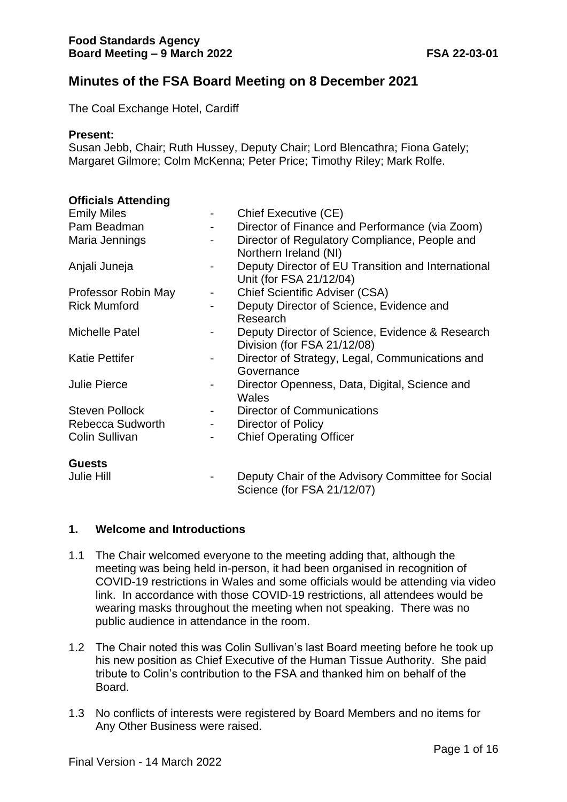# **Minutes of the FSA Board Meeting on 8 December 2021**

The Coal Exchange Hotel, Cardiff

#### **Present:**

Susan Jebb, Chair; Ruth Hussey, Deputy Chair; Lord Blencathra; Fiona Gately; Margaret Gilmore; Colm McKenna; Peter Price; Timothy Riley; Mark Rolfe.

#### **Officials Attending**

| <b>Emily Miles</b>    |                | Chief Executive (CE)                                                           |
|-----------------------|----------------|--------------------------------------------------------------------------------|
| Pam Beadman           | $\blacksquare$ | Director of Finance and Performance (via Zoom)                                 |
| Maria Jennings        |                | Director of Regulatory Compliance, People and<br>Northern Ireland (NI)         |
| Anjali Juneja         | -              | Deputy Director of EU Transition and International<br>Unit (for FSA 21/12/04)  |
| Professor Robin May   | $\blacksquare$ | <b>Chief Scientific Adviser (CSA)</b>                                          |
| <b>Rick Mumford</b>   |                | Deputy Director of Science, Evidence and<br>Research                           |
| Michelle Patel        | -              | Deputy Director of Science, Evidence & Research<br>Division (for FSA 21/12/08) |
| <b>Katie Pettifer</b> | -              | Director of Strategy, Legal, Communications and<br>Governance                  |
| <b>Julie Pierce</b>   | -              | Director Openness, Data, Digital, Science and<br>Wales                         |
| <b>Steven Pollock</b> | $\sim 100$     | <b>Director of Communications</b>                                              |
| Rebecca Sudworth      | $\blacksquare$ | Director of Policy                                                             |
| <b>Colin Sullivan</b> | -              | <b>Chief Operating Officer</b>                                                 |
| <b>Guests</b>         |                |                                                                                |
| <b>Julie Hill</b>     |                | Deputy Chair of the Advisory Committee for Social                              |

#### **1. Welcome and Introductions**

1.1 The Chair welcomed everyone to the meeting adding that, although the meeting was being held in-person, it had been organised in recognition of COVID-19 restrictions in Wales and some officials would be attending via video link. In accordance with those COVID-19 restrictions, all attendees would be wearing masks throughout the meeting when not speaking. There was no public audience in attendance in the room.

Science (for FSA 21/12/07)

- 1.2 The Chair noted this was Colin Sullivan's last Board meeting before he took up his new position as Chief Executive of the Human Tissue Authority. She paid tribute to Colin's contribution to the FSA and thanked him on behalf of the Board.
- 1.3 No conflicts of interests were registered by Board Members and no items for Any Other Business were raised.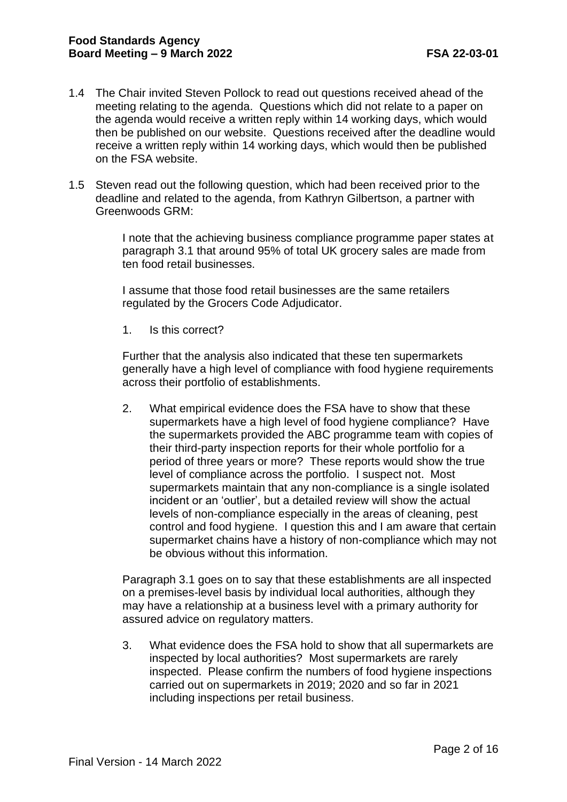- 1.4 The Chair invited Steven Pollock to read out questions received ahead of the meeting relating to the agenda. Questions which did not relate to a paper on the agenda would receive a written reply within 14 working days, which would then be published on our website. Questions received after the deadline would receive a written reply within 14 working days, which would then be published on the FSA website.
- 1.5 Steven read out the following question, which had been received prior to the deadline and related to the agenda, from Kathryn Gilbertson, a partner with Greenwoods GRM:

I note that the achieving business compliance programme paper states at paragraph 3.1 that around 95% of total UK grocery sales are made from ten food retail businesses.

I assume that those food retail businesses are the same retailers regulated by the Grocers Code Adjudicator.

1. Is this correct?

Further that the analysis also indicated that these ten supermarkets generally have a high level of compliance with food hygiene requirements across their portfolio of establishments.

2. What empirical evidence does the FSA have to show that these supermarkets have a high level of food hygiene compliance? Have the supermarkets provided the ABC programme team with copies of their third-party inspection reports for their whole portfolio for a period of three years or more? These reports would show the true level of compliance across the portfolio. I suspect not. Most supermarkets maintain that any non-compliance is a single isolated incident or an 'outlier', but a detailed review will show the actual levels of non-compliance especially in the areas of cleaning, pest control and food hygiene. I question this and I am aware that certain supermarket chains have a history of non-compliance which may not be obvious without this information.

Paragraph 3.1 goes on to say that these establishments are all inspected on a premises-level basis by individual local authorities, although they may have a relationship at a business level with a primary authority for assured advice on regulatory matters.

3. What evidence does the FSA hold to show that all supermarkets are inspected by local authorities? Most supermarkets are rarely inspected. Please confirm the numbers of food hygiene inspections carried out on supermarkets in 2019; 2020 and so far in 2021 including inspections per retail business.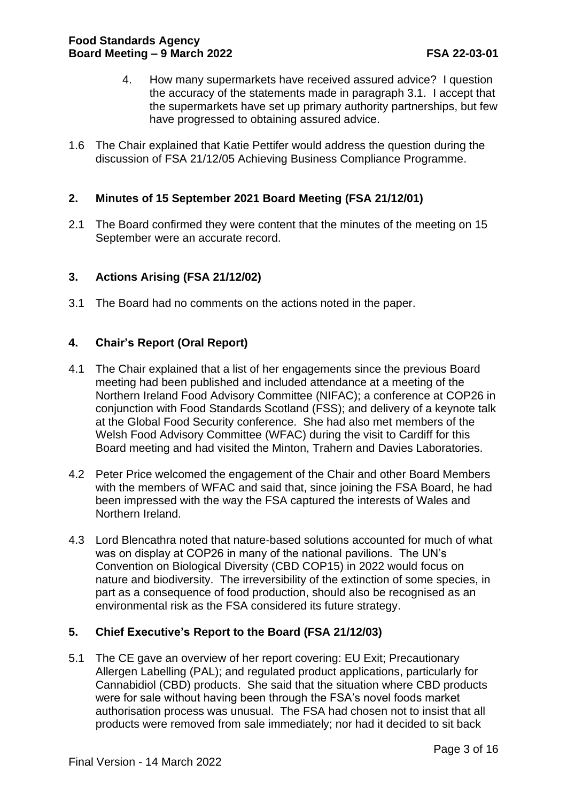- 4. How many supermarkets have received assured advice? I question the accuracy of the statements made in paragraph 3.1. I accept that the supermarkets have set up primary authority partnerships, but few have progressed to obtaining assured advice.
- 1.6 The Chair explained that Katie Pettifer would address the question during the discussion of FSA 21/12/05 Achieving Business Compliance Programme.

### **2. Minutes of 15 September 2021 Board Meeting (FSA 21/12/01)**

2.1 The Board confirmed they were content that the minutes of the meeting on 15 September were an accurate record.

## **3. Actions Arising (FSA 21/12/02)**

3.1 The Board had no comments on the actions noted in the paper.

## **4. Chair's Report (Oral Report)**

- 4.1 The Chair explained that a list of her engagements since the previous Board meeting had been published and included attendance at a meeting of the Northern Ireland Food Advisory Committee (NIFAC); a conference at COP26 in conjunction with Food Standards Scotland (FSS); and delivery of a keynote talk at the Global Food Security conference. She had also met members of the Welsh Food Advisory Committee (WFAC) during the visit to Cardiff for this Board meeting and had visited the Minton, Trahern and Davies Laboratories.
- 4.2 Peter Price welcomed the engagement of the Chair and other Board Members with the members of WFAC and said that, since joining the FSA Board, he had been impressed with the way the FSA captured the interests of Wales and Northern Ireland.
- 4.3 Lord Blencathra noted that nature-based solutions accounted for much of what was on display at COP26 in many of the national pavilions. The UN's Convention on Biological Diversity (CBD COP15) in 2022 would focus on nature and biodiversity. The irreversibility of the extinction of some species, in part as a consequence of food production, should also be recognised as an environmental risk as the FSA considered its future strategy.

### **5. Chief Executive's Report to the Board (FSA 21/12/03)**

5.1 The CE gave an overview of her report covering: EU Exit; Precautionary Allergen Labelling (PAL); and regulated product applications, particularly for Cannabidiol (CBD) products. She said that the situation where CBD products were for sale without having been through the FSA's novel foods market authorisation process was unusual. The FSA had chosen not to insist that all products were removed from sale immediately; nor had it decided to sit back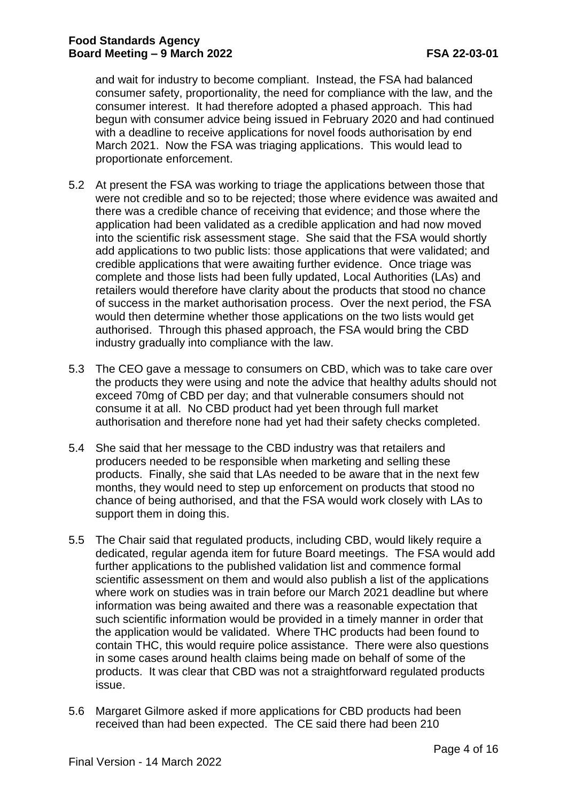and wait for industry to become compliant. Instead, the FSA had balanced consumer safety, proportionality, the need for compliance with the law, and the consumer interest. It had therefore adopted a phased approach. This had begun with consumer advice being issued in February 2020 and had continued with a deadline to receive applications for novel foods authorisation by end March 2021. Now the FSA was triaging applications. This would lead to proportionate enforcement.

- 5.2 At present the FSA was working to triage the applications between those that were not credible and so to be rejected; those where evidence was awaited and there was a credible chance of receiving that evidence; and those where the application had been validated as a credible application and had now moved into the scientific risk assessment stage. She said that the FSA would shortly add applications to two public lists: those applications that were validated; and credible applications that were awaiting further evidence. Once triage was complete and those lists had been fully updated, Local Authorities (LAs) and retailers would therefore have clarity about the products that stood no chance of success in the market authorisation process. Over the next period, the FSA would then determine whether those applications on the two lists would get authorised. Through this phased approach, the FSA would bring the CBD industry gradually into compliance with the law.
- 5.3 The CEO gave a message to consumers on CBD, which was to take care over the products they were using and note the advice that healthy adults should not exceed 70mg of CBD per day; and that vulnerable consumers should not consume it at all. No CBD product had yet been through full market authorisation and therefore none had yet had their safety checks completed.
- 5.4 She said that her message to the CBD industry was that retailers and producers needed to be responsible when marketing and selling these products. Finally, she said that LAs needed to be aware that in the next few months, they would need to step up enforcement on products that stood no chance of being authorised, and that the FSA would work closely with LAs to support them in doing this.
- 5.5 The Chair said that regulated products, including CBD, would likely require a dedicated, regular agenda item for future Board meetings. The FSA would add further applications to the published validation list and commence formal scientific assessment on them and would also publish a list of the applications where work on studies was in train before our March 2021 deadline but where information was being awaited and there was a reasonable expectation that such scientific information would be provided in a timely manner in order that the application would be validated. Where THC products had been found to contain THC, this would require police assistance. There were also questions in some cases around health claims being made on behalf of some of the products. It was clear that CBD was not a straightforward regulated products issue.
- 5.6 Margaret Gilmore asked if more applications for CBD products had been received than had been expected. The CE said there had been 210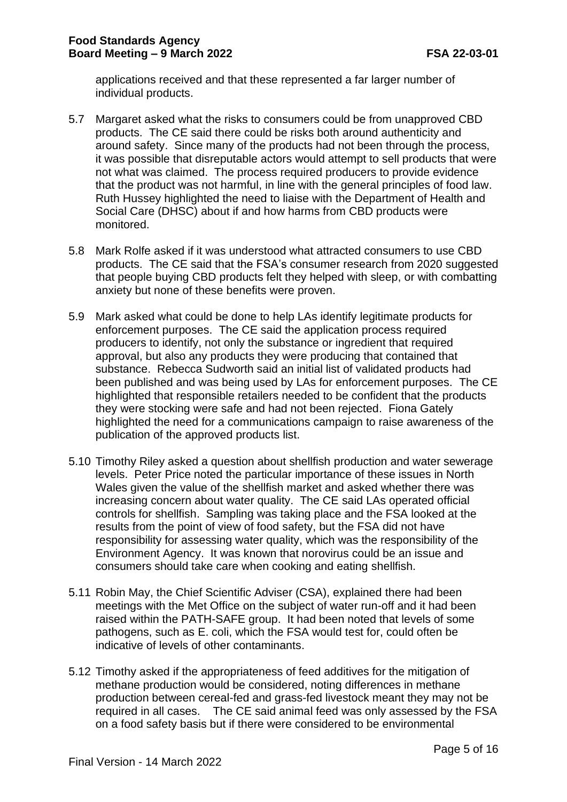applications received and that these represented a far larger number of individual products.

- 5.7 Margaret asked what the risks to consumers could be from unapproved CBD products. The CE said there could be risks both around authenticity and around safety. Since many of the products had not been through the process, it was possible that disreputable actors would attempt to sell products that were not what was claimed. The process required producers to provide evidence that the product was not harmful, in line with the general principles of food law. Ruth Hussey highlighted the need to liaise with the Department of Health and Social Care (DHSC) about if and how harms from CBD products were monitored.
- 5.8 Mark Rolfe asked if it was understood what attracted consumers to use CBD products. The CE said that the FSA's consumer research from 2020 suggested that people buying CBD products felt they helped with sleep, or with combatting anxiety but none of these benefits were proven.
- 5.9 Mark asked what could be done to help LAs identify legitimate products for enforcement purposes. The CE said the application process required producers to identify, not only the substance or ingredient that required approval, but also any products they were producing that contained that substance. Rebecca Sudworth said an initial list of validated products had been published and was being used by LAs for enforcement purposes. The CE highlighted that responsible retailers needed to be confident that the products they were stocking were safe and had not been rejected. Fiona Gately highlighted the need for a communications campaign to raise awareness of the publication of the approved products list.
- 5.10 Timothy Riley asked a question about shellfish production and water sewerage levels. Peter Price noted the particular importance of these issues in North Wales given the value of the shellfish market and asked whether there was increasing concern about water quality. The CE said LAs operated official controls for shellfish. Sampling was taking place and the FSA looked at the results from the point of view of food safety, but the FSA did not have responsibility for assessing water quality, which was the responsibility of the Environment Agency. It was known that norovirus could be an issue and consumers should take care when cooking and eating shellfish.
- 5.11 Robin May, the Chief Scientific Adviser (CSA), explained there had been meetings with the Met Office on the subject of water run-off and it had been raised within the PATH-SAFE group. It had been noted that levels of some pathogens, such as E. coli, which the FSA would test for, could often be indicative of levels of other contaminants.
- 5.12 Timothy asked if the appropriateness of feed additives for the mitigation of methane production would be considered, noting differences in methane production between cereal-fed and grass-fed livestock meant they may not be required in all cases. The CE said animal feed was only assessed by the FSA on a food safety basis but if there were considered to be environmental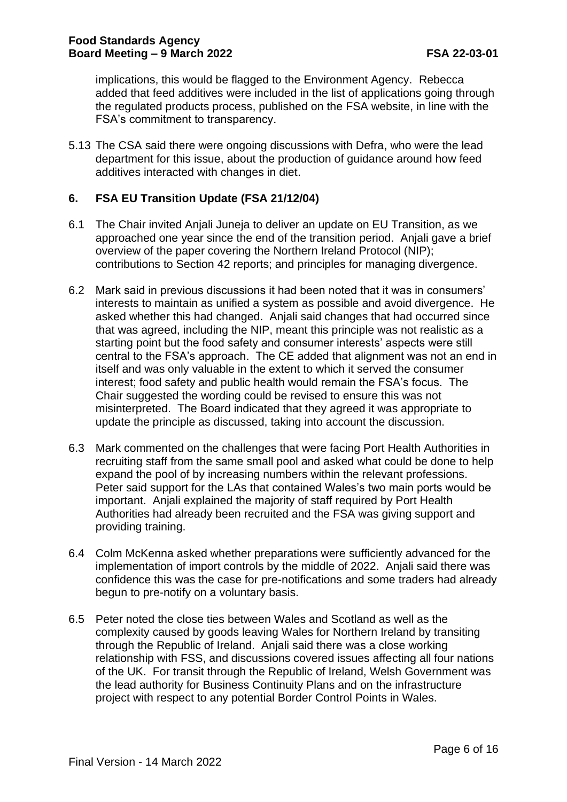implications, this would be flagged to the Environment Agency. Rebecca added that feed additives were included in the list of applications going through the regulated products process, published on the FSA website, in line with the FSA's commitment to transparency.

5.13 The CSA said there were ongoing discussions with Defra, who were the lead department for this issue, about the production of guidance around how feed additives interacted with changes in diet.

## **6. FSA EU Transition Update (FSA 21/12/04)**

- 6.1 The Chair invited Anjali Juneja to deliver an update on EU Transition, as we approached one year since the end of the transition period. Anjali gave a brief overview of the paper covering the Northern Ireland Protocol (NIP); contributions to Section 42 reports; and principles for managing divergence.
- 6.2 Mark said in previous discussions it had been noted that it was in consumers' interests to maintain as unified a system as possible and avoid divergence. He asked whether this had changed. Anjali said changes that had occurred since that was agreed, including the NIP, meant this principle was not realistic as a starting point but the food safety and consumer interests' aspects were still central to the FSA's approach. The CE added that alignment was not an end in itself and was only valuable in the extent to which it served the consumer interest; food safety and public health would remain the FSA's focus. The Chair suggested the wording could be revised to ensure this was not misinterpreted. The Board indicated that they agreed it was appropriate to update the principle as discussed, taking into account the discussion.
- 6.3 Mark commented on the challenges that were facing Port Health Authorities in recruiting staff from the same small pool and asked what could be done to help expand the pool of by increasing numbers within the relevant professions. Peter said support for the LAs that contained Wales's two main ports would be important. Anjali explained the majority of staff required by Port Health Authorities had already been recruited and the FSA was giving support and providing training.
- 6.4 Colm McKenna asked whether preparations were sufficiently advanced for the implementation of import controls by the middle of 2022. Anjali said there was confidence this was the case for pre-notifications and some traders had already begun to pre-notify on a voluntary basis.
- 6.5 Peter noted the close ties between Wales and Scotland as well as the complexity caused by goods leaving Wales for Northern Ireland by transiting through the Republic of Ireland. Anjali said there was a close working relationship with FSS, and discussions covered issues affecting all four nations of the UK. For transit through the Republic of Ireland, Welsh Government was the lead authority for Business Continuity Plans and on the infrastructure project with respect to any potential Border Control Points in Wales.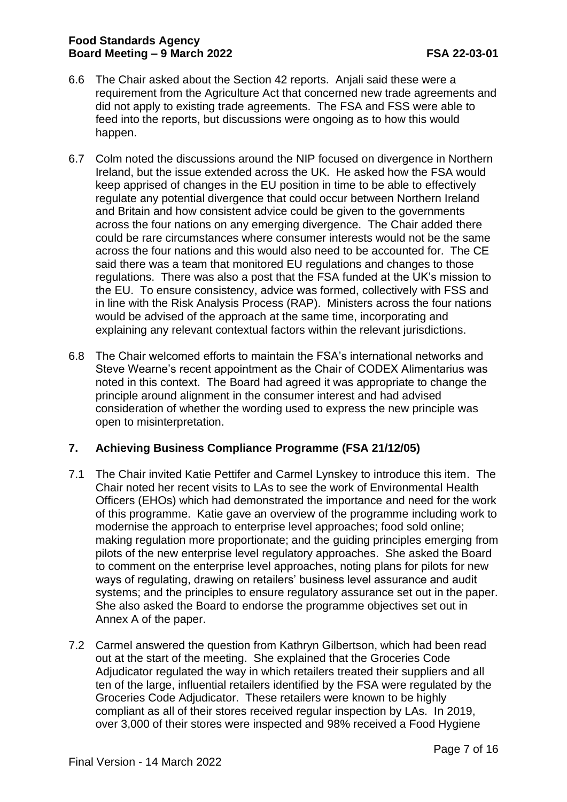- 6.6 The Chair asked about the Section 42 reports. Anjali said these were a requirement from the Agriculture Act that concerned new trade agreements and did not apply to existing trade agreements. The FSA and FSS were able to feed into the reports, but discussions were ongoing as to how this would happen.
- 6.7 Colm noted the discussions around the NIP focused on divergence in Northern Ireland, but the issue extended across the UK. He asked how the FSA would keep apprised of changes in the EU position in time to be able to effectively regulate any potential divergence that could occur between Northern Ireland and Britain and how consistent advice could be given to the governments across the four nations on any emerging divergence. The Chair added there could be rare circumstances where consumer interests would not be the same across the four nations and this would also need to be accounted for. The CE said there was a team that monitored EU regulations and changes to those regulations. There was also a post that the FSA funded at the UK's mission to the EU. To ensure consistency, advice was formed, collectively with FSS and in line with the Risk Analysis Process (RAP). Ministers across the four nations would be advised of the approach at the same time, incorporating and explaining any relevant contextual factors within the relevant jurisdictions.
- 6.8 The Chair welcomed efforts to maintain the FSA's international networks and Steve Wearne's recent appointment as the Chair of CODEX Alimentarius was noted in this context. The Board had agreed it was appropriate to change the principle around alignment in the consumer interest and had advised consideration of whether the wording used to express the new principle was open to misinterpretation.

## **7. Achieving Business Compliance Programme (FSA 21/12/05)**

- 7.1 The Chair invited Katie Pettifer and Carmel Lynskey to introduce this item. The Chair noted her recent visits to LAs to see the work of Environmental Health Officers (EHOs) which had demonstrated the importance and need for the work of this programme. Katie gave an overview of the programme including work to modernise the approach to enterprise level approaches; food sold online; making regulation more proportionate; and the guiding principles emerging from pilots of the new enterprise level regulatory approaches. She asked the Board to comment on the enterprise level approaches, noting plans for pilots for new ways of regulating, drawing on retailers' business level assurance and audit systems; and the principles to ensure regulatory assurance set out in the paper. She also asked the Board to endorse the programme objectives set out in Annex A of the paper.
- 7.2 Carmel answered the question from Kathryn Gilbertson, which had been read out at the start of the meeting. She explained that the Groceries Code Adjudicator regulated the way in which retailers treated their suppliers and all ten of the large, influential retailers identified by the FSA were regulated by the Groceries Code Adjudicator. These retailers were known to be highly compliant as all of their stores received regular inspection by LAs. In 2019, over 3,000 of their stores were inspected and 98% received a Food Hygiene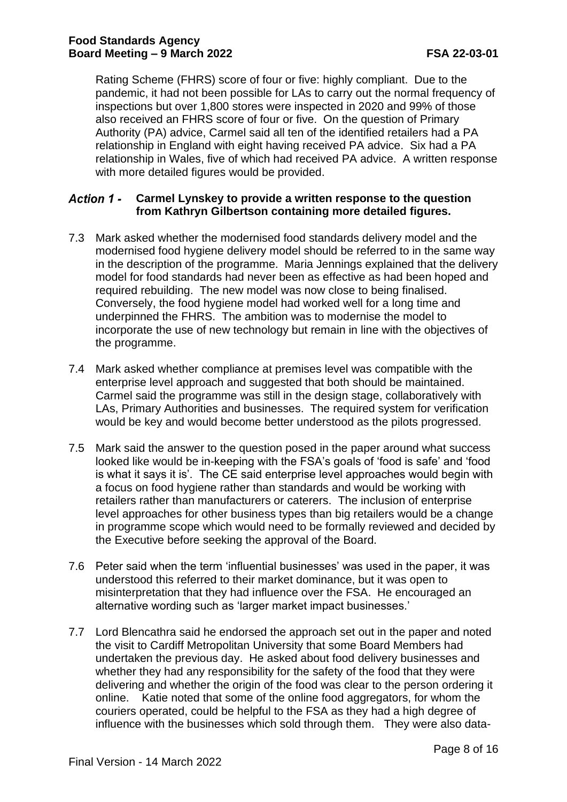Rating Scheme (FHRS) score of four or five: highly compliant. Due to the pandemic, it had not been possible for LAs to carry out the normal frequency of inspections but over 1,800 stores were inspected in 2020 and 99% of those also received an FHRS score of four or five. On the question of Primary Authority (PA) advice, Carmel said all ten of the identified retailers had a PA relationship in England with eight having received PA advice. Six had a PA relationship in Wales, five of which had received PA advice. A written response with more detailed figures would be provided.

#### **Carmel Lynskey to provide a written response to the question Action 1 from Kathryn Gilbertson containing more detailed figures.**

- 7.3 Mark asked whether the modernised food standards delivery model and the modernised food hygiene delivery model should be referred to in the same way in the description of the programme. Maria Jennings explained that the delivery model for food standards had never been as effective as had been hoped and required rebuilding. The new model was now close to being finalised. Conversely, the food hygiene model had worked well for a long time and underpinned the FHRS. The ambition was to modernise the model to incorporate the use of new technology but remain in line with the objectives of the programme.
- 7.4 Mark asked whether compliance at premises level was compatible with the enterprise level approach and suggested that both should be maintained. Carmel said the programme was still in the design stage, collaboratively with LAs, Primary Authorities and businesses. The required system for verification would be key and would become better understood as the pilots progressed.
- 7.5 Mark said the answer to the question posed in the paper around what success looked like would be in-keeping with the FSA's goals of 'food is safe' and 'food is what it says it is'. The CE said enterprise level approaches would begin with a focus on food hygiene rather than standards and would be working with retailers rather than manufacturers or caterers. The inclusion of enterprise level approaches for other business types than big retailers would be a change in programme scope which would need to be formally reviewed and decided by the Executive before seeking the approval of the Board.
- 7.6 Peter said when the term 'influential businesses' was used in the paper, it was understood this referred to their market dominance, but it was open to misinterpretation that they had influence over the FSA. He encouraged an alternative wording such as 'larger market impact businesses.'
- 7.7 Lord Blencathra said he endorsed the approach set out in the paper and noted the visit to Cardiff Metropolitan University that some Board Members had undertaken the previous day. He asked about food delivery businesses and whether they had any responsibility for the safety of the food that they were delivering and whether the origin of the food was clear to the person ordering it online. Katie noted that some of the online food aggregators, for whom the couriers operated, could be helpful to the FSA as they had a high degree of influence with the businesses which sold through them. They were also data-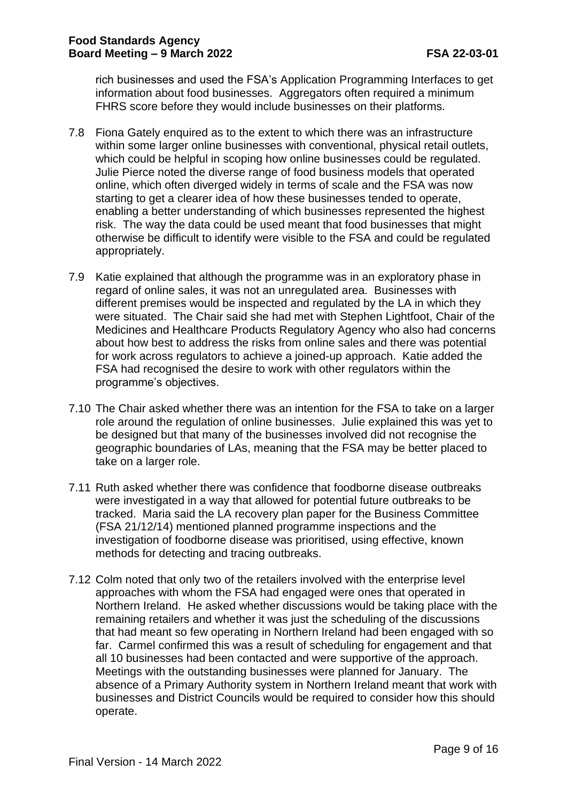rich businesses and used the FSA's Application Programming Interfaces to get information about food businesses. Aggregators often required a minimum FHRS score before they would include businesses on their platforms.

- 7.8 Fiona Gately enquired as to the extent to which there was an infrastructure within some larger online businesses with conventional, physical retail outlets, which could be helpful in scoping how online businesses could be regulated. Julie Pierce noted the diverse range of food business models that operated online, which often diverged widely in terms of scale and the FSA was now starting to get a clearer idea of how these businesses tended to operate, enabling a better understanding of which businesses represented the highest risk. The way the data could be used meant that food businesses that might otherwise be difficult to identify were visible to the FSA and could be regulated appropriately.
- 7.9 Katie explained that although the programme was in an exploratory phase in regard of online sales, it was not an unregulated area. Businesses with different premises would be inspected and regulated by the LA in which they were situated. The Chair said she had met with Stephen Lightfoot, Chair of the Medicines and Healthcare Products Regulatory Agency who also had concerns about how best to address the risks from online sales and there was potential for work across regulators to achieve a joined-up approach. Katie added the FSA had recognised the desire to work with other regulators within the programme's objectives.
- 7.10 The Chair asked whether there was an intention for the FSA to take on a larger role around the regulation of online businesses. Julie explained this was yet to be designed but that many of the businesses involved did not recognise the geographic boundaries of LAs, meaning that the FSA may be better placed to take on a larger role.
- 7.11 Ruth asked whether there was confidence that foodborne disease outbreaks were investigated in a way that allowed for potential future outbreaks to be tracked. Maria said the LA recovery plan paper for the Business Committee (FSA 21/12/14) mentioned planned programme inspections and the investigation of foodborne disease was prioritised, using effective, known methods for detecting and tracing outbreaks.
- 7.12 Colm noted that only two of the retailers involved with the enterprise level approaches with whom the FSA had engaged were ones that operated in Northern Ireland. He asked whether discussions would be taking place with the remaining retailers and whether it was just the scheduling of the discussions that had meant so few operating in Northern Ireland had been engaged with so far. Carmel confirmed this was a result of scheduling for engagement and that all 10 businesses had been contacted and were supportive of the approach. Meetings with the outstanding businesses were planned for January. The absence of a Primary Authority system in Northern Ireland meant that work with businesses and District Councils would be required to consider how this should operate.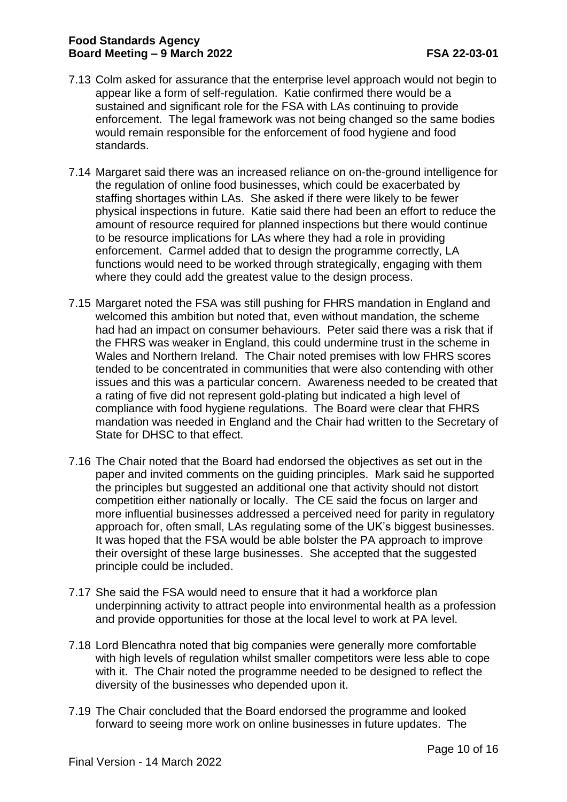- 7.13 Colm asked for assurance that the enterprise level approach would not begin to appear like a form of self-regulation. Katie confirmed there would be a sustained and significant role for the FSA with LAs continuing to provide enforcement. The legal framework was not being changed so the same bodies would remain responsible for the enforcement of food hygiene and food standards.
- 7.14 Margaret said there was an increased reliance on on-the-ground intelligence for the regulation of online food businesses, which could be exacerbated by staffing shortages within LAs. She asked if there were likely to be fewer physical inspections in future. Katie said there had been an effort to reduce the amount of resource required for planned inspections but there would continue to be resource implications for LAs where they had a role in providing enforcement. Carmel added that to design the programme correctly, LA functions would need to be worked through strategically, engaging with them where they could add the greatest value to the design process.
- 7.15 Margaret noted the FSA was still pushing for FHRS mandation in England and welcomed this ambition but noted that, even without mandation, the scheme had had an impact on consumer behaviours. Peter said there was a risk that if the FHRS was weaker in England, this could undermine trust in the scheme in Wales and Northern Ireland. The Chair noted premises with low FHRS scores tended to be concentrated in communities that were also contending with other issues and this was a particular concern. Awareness needed to be created that a rating of five did not represent gold-plating but indicated a high level of compliance with food hygiene regulations. The Board were clear that FHRS mandation was needed in England and the Chair had written to the Secretary of State for DHSC to that effect.
- 7.16 The Chair noted that the Board had endorsed the objectives as set out in the paper and invited comments on the guiding principles. Mark said he supported the principles but suggested an additional one that activity should not distort competition either nationally or locally. The CE said the focus on larger and more influential businesses addressed a perceived need for parity in regulatory approach for, often small. LAs regulating some of the UK's biggest businesses. It was hoped that the FSA would be able bolster the PA approach to improve their oversight of these large businesses. She accepted that the suggested principle could be included.
- 7.17 She said the FSA would need to ensure that it had a workforce plan underpinning activity to attract people into environmental health as a profession and provide opportunities for those at the local level to work at PA level.
- 7.18 Lord Blencathra noted that big companies were generally more comfortable with high levels of regulation whilst smaller competitors were less able to cope with it. The Chair noted the programme needed to be designed to reflect the diversity of the businesses who depended upon it.
- 7.19 The Chair concluded that the Board endorsed the programme and looked forward to seeing more work on online businesses in future updates. The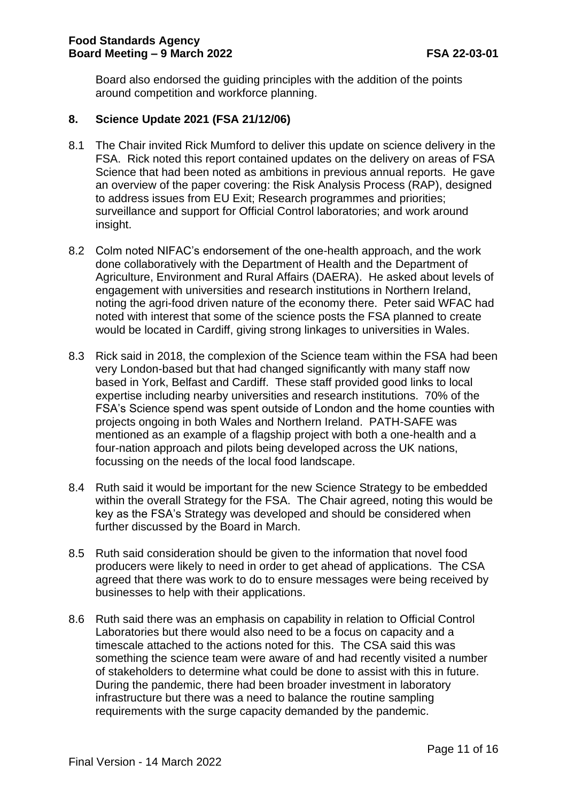Board also endorsed the guiding principles with the addition of the points around competition and workforce planning.

#### **8. Science Update 2021 (FSA 21/12/06)**

- 8.1 The Chair invited Rick Mumford to deliver this update on science delivery in the FSA. Rick noted this report contained updates on the delivery on areas of FSA Science that had been noted as ambitions in previous annual reports. He gave an overview of the paper covering: the Risk Analysis Process (RAP), designed to address issues from EU Exit; Research programmes and priorities; surveillance and support for Official Control laboratories; and work around insight.
- 8.2 Colm noted NIFAC's endorsement of the one-health approach, and the work done collaboratively with the Department of Health and the Department of Agriculture, Environment and Rural Affairs (DAERA). He asked about levels of engagement with universities and research institutions in Northern Ireland, noting the agri-food driven nature of the economy there. Peter said WFAC had noted with interest that some of the science posts the FSA planned to create would be located in Cardiff, giving strong linkages to universities in Wales.
- 8.3 Rick said in 2018, the complexion of the Science team within the FSA had been very London-based but that had changed significantly with many staff now based in York, Belfast and Cardiff. These staff provided good links to local expertise including nearby universities and research institutions. 70% of the FSA's Science spend was spent outside of London and the home counties with projects ongoing in both Wales and Northern Ireland. PATH-SAFE was mentioned as an example of a flagship project with both a one-health and a four-nation approach and pilots being developed across the UK nations, focussing on the needs of the local food landscape.
- 8.4 Ruth said it would be important for the new Science Strategy to be embedded within the overall Strategy for the FSA. The Chair agreed, noting this would be key as the FSA's Strategy was developed and should be considered when further discussed by the Board in March.
- 8.5 Ruth said consideration should be given to the information that novel food producers were likely to need in order to get ahead of applications. The CSA agreed that there was work to do to ensure messages were being received by businesses to help with their applications.
- 8.6 Ruth said there was an emphasis on capability in relation to Official Control Laboratories but there would also need to be a focus on capacity and a timescale attached to the actions noted for this. The CSA said this was something the science team were aware of and had recently visited a number of stakeholders to determine what could be done to assist with this in future. During the pandemic, there had been broader investment in laboratory infrastructure but there was a need to balance the routine sampling requirements with the surge capacity demanded by the pandemic.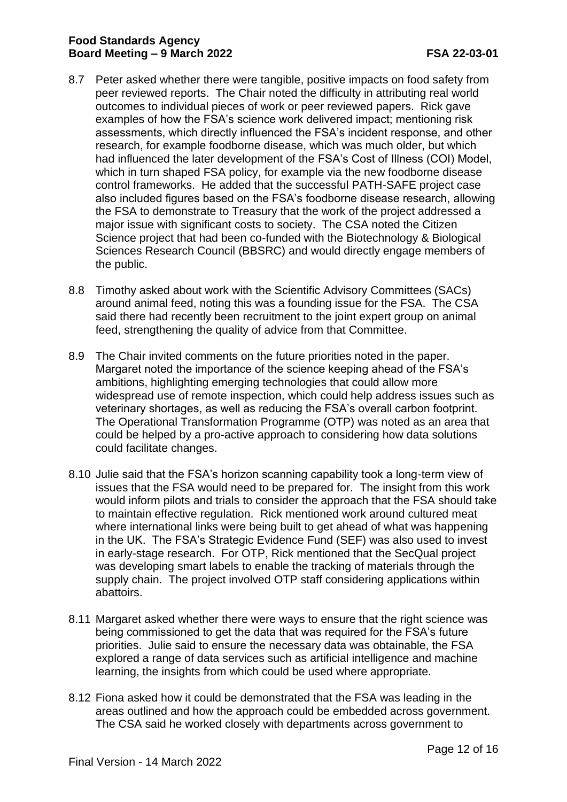- 8.7 Peter asked whether there were tangible, positive impacts on food safety from peer reviewed reports. The Chair noted the difficulty in attributing real world outcomes to individual pieces of work or peer reviewed papers. Rick gave examples of how the FSA's science work delivered impact; mentioning risk assessments, which directly influenced the FSA's incident response, and other research, for example foodborne disease, which was much older, but which had influenced the later development of the FSA's Cost of Illness (COI) Model, which in turn shaped FSA policy, for example via the new foodborne disease control frameworks. He added that the successful PATH-SAFE project case also included figures based on the FSA's foodborne disease research, allowing the FSA to demonstrate to Treasury that the work of the project addressed a major issue with significant costs to society. The CSA noted the Citizen Science project that had been co-funded with the Biotechnology & Biological Sciences Research Council (BBSRC) and would directly engage members of the public.
- 8.8 Timothy asked about work with the Scientific Advisory Committees (SACs) around animal feed, noting this was a founding issue for the FSA. The CSA said there had recently been recruitment to the joint expert group on animal feed, strengthening the quality of advice from that Committee.
- 8.9 The Chair invited comments on the future priorities noted in the paper. Margaret noted the importance of the science keeping ahead of the FSA's ambitions, highlighting emerging technologies that could allow more widespread use of remote inspection, which could help address issues such as veterinary shortages, as well as reducing the FSA's overall carbon footprint. The Operational Transformation Programme (OTP) was noted as an area that could be helped by a pro-active approach to considering how data solutions could facilitate changes.
- 8.10 Julie said that the FSA's horizon scanning capability took a long-term view of issues that the FSA would need to be prepared for. The insight from this work would inform pilots and trials to consider the approach that the FSA should take to maintain effective regulation. Rick mentioned work around cultured meat where international links were being built to get ahead of what was happening in the UK. The FSA's Strategic Evidence Fund (SEF) was also used to invest in early-stage research. For OTP, Rick mentioned that the SecQual project was developing smart labels to enable the tracking of materials through the supply chain. The project involved OTP staff considering applications within abattoirs.
- 8.11 Margaret asked whether there were ways to ensure that the right science was being commissioned to get the data that was required for the FSA's future priorities. Julie said to ensure the necessary data was obtainable, the FSA explored a range of data services such as artificial intelligence and machine learning, the insights from which could be used where appropriate.
- 8.12 Fiona asked how it could be demonstrated that the FSA was leading in the areas outlined and how the approach could be embedded across government. The CSA said he worked closely with departments across government to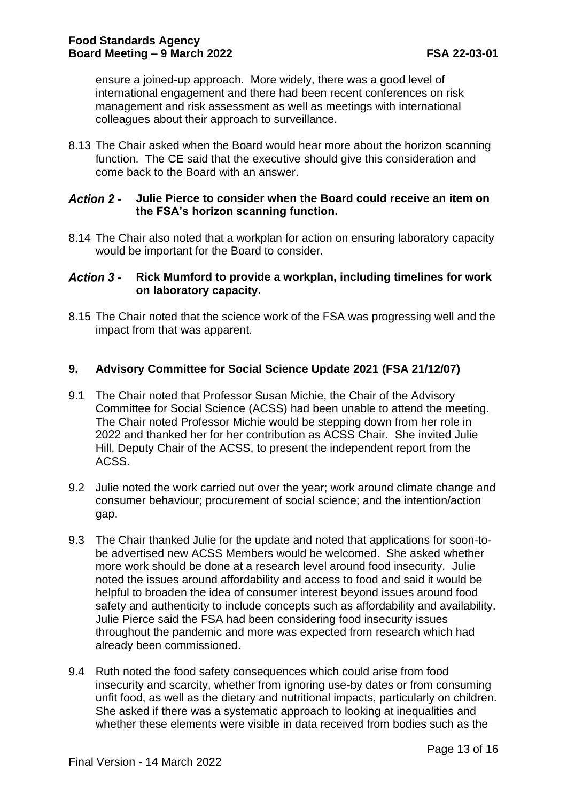ensure a joined-up approach. More widely, there was a good level of international engagement and there had been recent conferences on risk management and risk assessment as well as meetings with international colleagues about their approach to surveillance.

8.13 The Chair asked when the Board would hear more about the horizon scanning function. The CE said that the executive should give this consideration and come back to the Board with an answer.

#### **Action 2 -Julie Pierce to consider when the Board could receive an item on the FSA's horizon scanning function.**

8.14 The Chair also noted that a workplan for action on ensuring laboratory capacity would be important for the Board to consider.

#### **Rick Mumford to provide a workplan, including timelines for work**  Action 3 **on laboratory capacity.**

8.15 The Chair noted that the science work of the FSA was progressing well and the impact from that was apparent.

## **9. Advisory Committee for Social Science Update 2021 (FSA 21/12/07)**

- 9.1 The Chair noted that Professor Susan Michie, the Chair of the Advisory Committee for Social Science (ACSS) had been unable to attend the meeting. The Chair noted Professor Michie would be stepping down from her role in 2022 and thanked her for her contribution as ACSS Chair. She invited Julie Hill, Deputy Chair of the ACSS, to present the independent report from the ACSS.
- 9.2 Julie noted the work carried out over the year; work around climate change and consumer behaviour; procurement of social science; and the intention/action gap.
- 9.3 The Chair thanked Julie for the update and noted that applications for soon-tobe advertised new ACSS Members would be welcomed. She asked whether more work should be done at a research level around food insecurity. Julie noted the issues around affordability and access to food and said it would be helpful to broaden the idea of consumer interest beyond issues around food safety and authenticity to include concepts such as affordability and availability. Julie Pierce said the FSA had been considering food insecurity issues throughout the pandemic and more was expected from research which had already been commissioned.
- 9.4 Ruth noted the food safety consequences which could arise from food insecurity and scarcity, whether from ignoring use-by dates or from consuming unfit food, as well as the dietary and nutritional impacts, particularly on children. She asked if there was a systematic approach to looking at inequalities and whether these elements were visible in data received from bodies such as the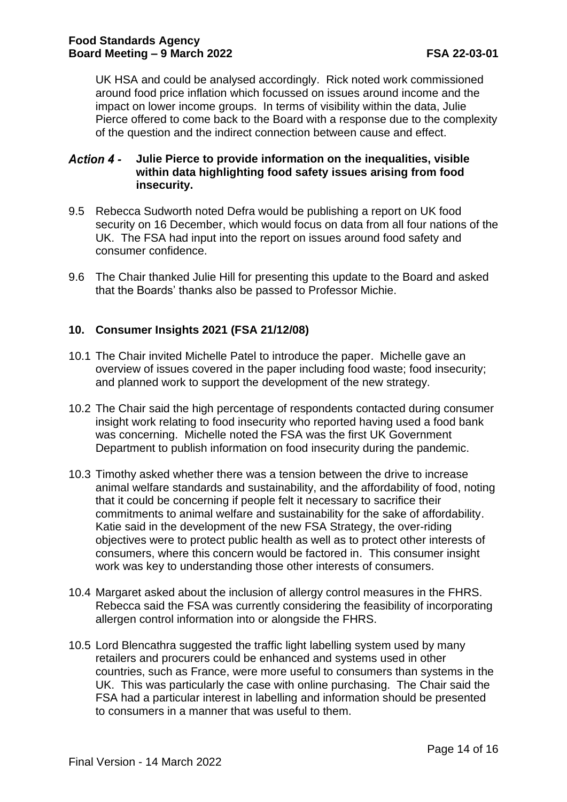UK HSA and could be analysed accordingly. Rick noted work commissioned around food price inflation which focussed on issues around income and the impact on lower income groups. In terms of visibility within the data, Julie Pierce offered to come back to the Board with a response due to the complexity of the question and the indirect connection between cause and effect.

#### **Julie Pierce to provide information on the inequalities, visible Action 4 within data highlighting food safety issues arising from food insecurity.**

- 9.5 Rebecca Sudworth noted Defra would be publishing a report on UK food security on 16 December, which would focus on data from all four nations of the UK. The FSA had input into the report on issues around food safety and consumer confidence.
- 9.6 The Chair thanked Julie Hill for presenting this update to the Board and asked that the Boards' thanks also be passed to Professor Michie.

## **10. Consumer Insights 2021 (FSA 21/12/08)**

- 10.1 The Chair invited Michelle Patel to introduce the paper. Michelle gave an overview of issues covered in the paper including food waste; food insecurity; and planned work to support the development of the new strategy.
- 10.2 The Chair said the high percentage of respondents contacted during consumer insight work relating to food insecurity who reported having used a food bank was concerning. Michelle noted the FSA was the first UK Government Department to publish information on food insecurity during the pandemic.
- 10.3 Timothy asked whether there was a tension between the drive to increase animal welfare standards and sustainability, and the affordability of food, noting that it could be concerning if people felt it necessary to sacrifice their commitments to animal welfare and sustainability for the sake of affordability. Katie said in the development of the new FSA Strategy, the over-riding objectives were to protect public health as well as to protect other interests of consumers, where this concern would be factored in. This consumer insight work was key to understanding those other interests of consumers.
- 10.4 Margaret asked about the inclusion of allergy control measures in the FHRS. Rebecca said the FSA was currently considering the feasibility of incorporating allergen control information into or alongside the FHRS.
- 10.5 Lord Blencathra suggested the traffic light labelling system used by many retailers and procurers could be enhanced and systems used in other countries, such as France, were more useful to consumers than systems in the UK. This was particularly the case with online purchasing. The Chair said the FSA had a particular interest in labelling and information should be presented to consumers in a manner that was useful to them.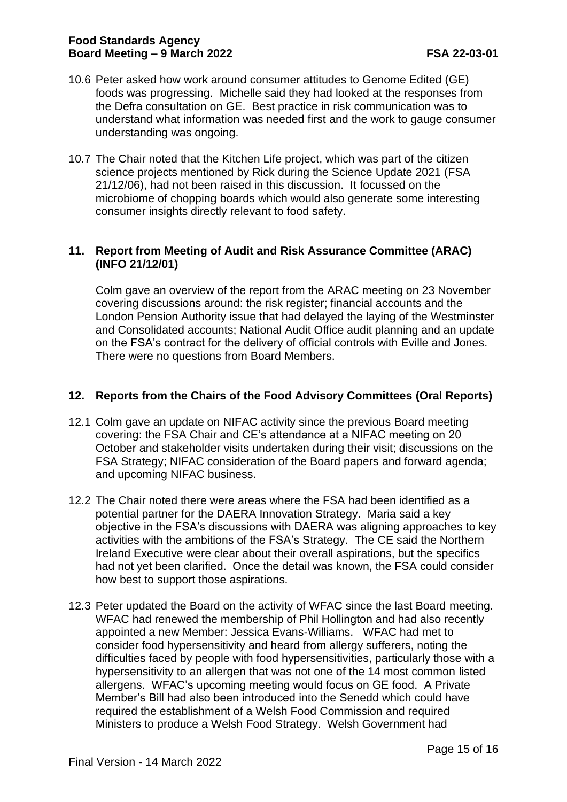- 10.6 Peter asked how work around consumer attitudes to Genome Edited (GE) foods was progressing. Michelle said they had looked at the responses from the Defra consultation on GE. Best practice in risk communication was to understand what information was needed first and the work to gauge consumer understanding was ongoing.
- 10.7 The Chair noted that the Kitchen Life project, which was part of the citizen science projects mentioned by Rick during the Science Update 2021 (FSA 21/12/06), had not been raised in this discussion. It focussed on the microbiome of chopping boards which would also generate some interesting consumer insights directly relevant to food safety.

#### **11. Report from Meeting of Audit and Risk Assurance Committee (ARAC) (INFO 21/12/01)**

Colm gave an overview of the report from the ARAC meeting on 23 November covering discussions around: the risk register; financial accounts and the London Pension Authority issue that had delayed the laying of the Westminster and Consolidated accounts; National Audit Office audit planning and an update on the FSA's contract for the delivery of official controls with Eville and Jones. There were no questions from Board Members.

### **12. Reports from the Chairs of the Food Advisory Committees (Oral Reports)**

- 12.1 Colm gave an update on NIFAC activity since the previous Board meeting covering: the FSA Chair and CE's attendance at a NIFAC meeting on 20 October and stakeholder visits undertaken during their visit; discussions on the FSA Strategy; NIFAC consideration of the Board papers and forward agenda; and upcoming NIFAC business.
- 12.2 The Chair noted there were areas where the FSA had been identified as a potential partner for the DAERA Innovation Strategy. Maria said a key objective in the FSA's discussions with DAERA was aligning approaches to key activities with the ambitions of the FSA's Strategy. The CE said the Northern Ireland Executive were clear about their overall aspirations, but the specifics had not yet been clarified. Once the detail was known, the FSA could consider how best to support those aspirations.
- 12.3 Peter updated the Board on the activity of WFAC since the last Board meeting. WFAC had renewed the membership of Phil Hollington and had also recently appointed a new Member: Jessica Evans-Williams. WFAC had met to consider food hypersensitivity and heard from allergy sufferers, noting the difficulties faced by people with food hypersensitivities, particularly those with a hypersensitivity to an allergen that was not one of the 14 most common listed allergens. WFAC's upcoming meeting would focus on GE food. A Private Member's Bill had also been introduced into the Senedd which could have required the establishment of a Welsh Food Commission and required Ministers to produce a Welsh Food Strategy. Welsh Government had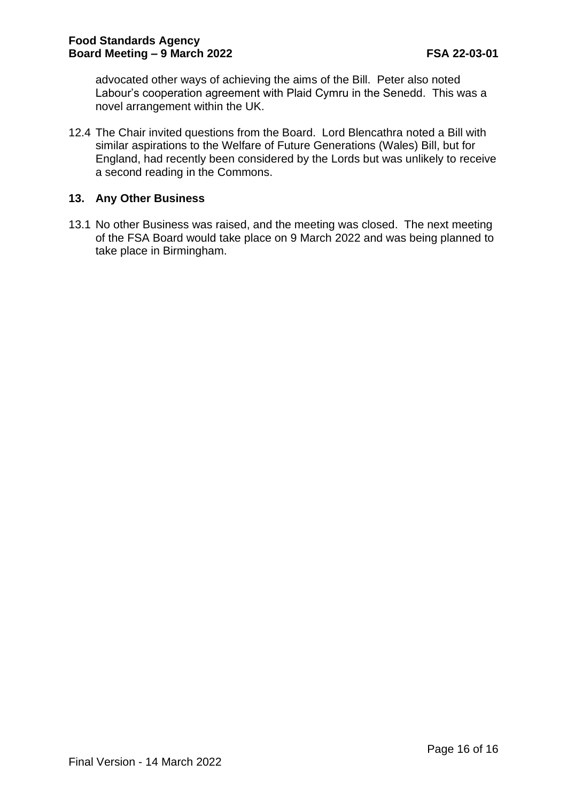advocated other ways of achieving the aims of the Bill. Peter also noted Labour's cooperation agreement with Plaid Cymru in the Senedd. This was a novel arrangement within the UK.

12.4 The Chair invited questions from the Board. Lord Blencathra noted a Bill with similar aspirations to the Welfare of Future Generations (Wales) Bill, but for England, had recently been considered by the Lords but was unlikely to receive a second reading in the Commons.

## **13. Any Other Business**

13.1 No other Business was raised, and the meeting was closed. The next meeting of the FSA Board would take place on 9 March 2022 and was being planned to take place in Birmingham.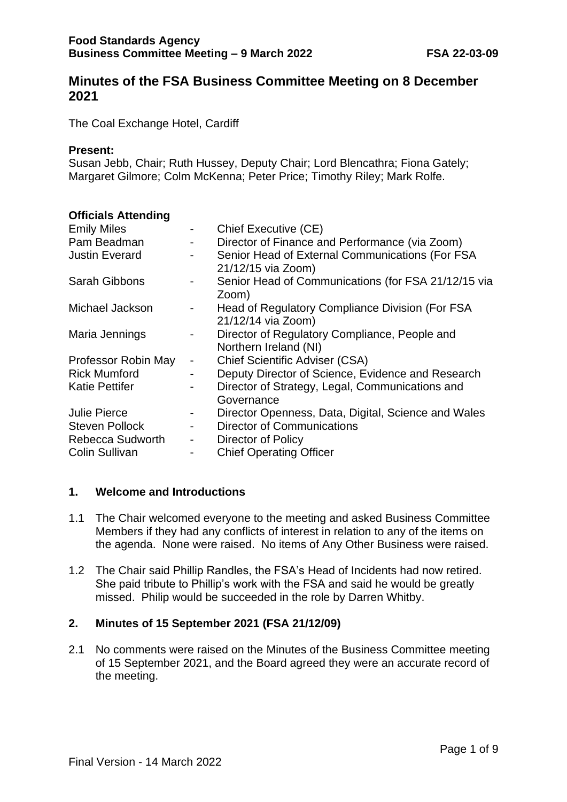# **Minutes of the FSA Business Committee Meeting on 8 December 2021**

The Coal Exchange Hotel, Cardiff

#### **Present:**

Susan Jebb, Chair; Ruth Hussey, Deputy Chair; Lord Blencathra; Fiona Gately; Margaret Gilmore; Colm McKenna; Peter Price; Timothy Riley; Mark Rolfe.

#### **Officials Attending**

| <b>Emily Miles</b>      |                              | Chief Executive (CE)                                                   |
|-------------------------|------------------------------|------------------------------------------------------------------------|
| Pam Beadman             | $\sim 100$                   | Director of Finance and Performance (via Zoom)                         |
| <b>Justin Everard</b>   |                              | Senior Head of External Communications (For FSA<br>21/12/15 via Zoom)  |
| <b>Sarah Gibbons</b>    | -                            | Senior Head of Communications (for FSA 21/12/15 via<br>Zoom)           |
| Michael Jackson         | $\qquad \qquad \blacksquare$ | Head of Regulatory Compliance Division (For FSA<br>21/12/14 via Zoom)  |
| Maria Jennings          | $\overline{\phantom{0}}$     | Director of Regulatory Compliance, People and<br>Northern Ireland (NI) |
| Professor Robin May     |                              | <b>Chief Scientific Adviser (CSA)</b>                                  |
| <b>Rick Mumford</b>     |                              | Deputy Director of Science, Evidence and Research                      |
| <b>Katie Pettifer</b>   | $\overline{\phantom{a}}$     | Director of Strategy, Legal, Communications and<br>Governance          |
| <b>Julie Pierce</b>     | -                            | Director Openness, Data, Digital, Science and Wales                    |
| <b>Steven Pollock</b>   |                              | <b>Director of Communications</b>                                      |
| <b>Rebecca Sudworth</b> | $\qquad \qquad \blacksquare$ | Director of Policy                                                     |
| Colin Sullivan          |                              | <b>Chief Operating Officer</b>                                         |

#### **1. Welcome and Introductions**

- 1.1 The Chair welcomed everyone to the meeting and asked Business Committee Members if they had any conflicts of interest in relation to any of the items on the agenda. None were raised. No items of Any Other Business were raised.
- 1.2 The Chair said Phillip Randles, the FSA's Head of Incidents had now retired. She paid tribute to Phillip's work with the FSA and said he would be greatly missed. Philip would be succeeded in the role by Darren Whitby.

#### **2. Minutes of 15 September 2021 (FSA 21/12/09)**

2.1 No comments were raised on the Minutes of the Business Committee meeting of 15 September 2021, and the Board agreed they were an accurate record of the meeting.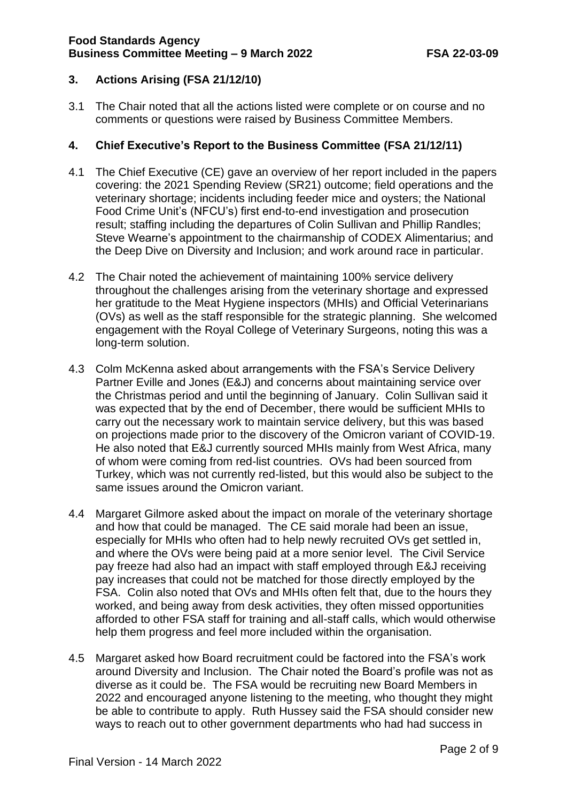### **Food Standards Agency Business Committee Meeting – 9 March 2022 FSA 22-03-09**

## **3. Actions Arising (FSA 21/12/10)**

3.1 The Chair noted that all the actions listed were complete or on course and no comments or questions were raised by Business Committee Members.

## **4. Chief Executive's Report to the Business Committee (FSA 21/12/11)**

- 4.1 The Chief Executive (CE) gave an overview of her report included in the papers covering: the 2021 Spending Review (SR21) outcome; field operations and the veterinary shortage; incidents including feeder mice and oysters; the National Food Crime Unit's (NFCU's) first end-to-end investigation and prosecution result; staffing including the departures of Colin Sullivan and Phillip Randles; Steve Wearne's appointment to the chairmanship of CODEX Alimentarius; and the Deep Dive on Diversity and Inclusion; and work around race in particular.
- 4.2 The Chair noted the achievement of maintaining 100% service delivery throughout the challenges arising from the veterinary shortage and expressed her gratitude to the Meat Hygiene inspectors (MHIs) and Official Veterinarians (OVs) as well as the staff responsible for the strategic planning. She welcomed engagement with the Royal College of Veterinary Surgeons, noting this was a long-term solution.
- 4.3 Colm McKenna asked about arrangements with the FSA's Service Delivery Partner Eville and Jones (E&J) and concerns about maintaining service over the Christmas period and until the beginning of January. Colin Sullivan said it was expected that by the end of December, there would be sufficient MHIs to carry out the necessary work to maintain service delivery, but this was based on projections made prior to the discovery of the Omicron variant of COVID-19. He also noted that E&J currently sourced MHIs mainly from West Africa, many of whom were coming from red-list countries. OVs had been sourced from Turkey, which was not currently red-listed, but this would also be subject to the same issues around the Omicron variant.
- 4.4 Margaret Gilmore asked about the impact on morale of the veterinary shortage and how that could be managed. The CE said morale had been an issue, especially for MHIs who often had to help newly recruited OVs get settled in, and where the OVs were being paid at a more senior level. The Civil Service pay freeze had also had an impact with staff employed through E&J receiving pay increases that could not be matched for those directly employed by the FSA. Colin also noted that OVs and MHIs often felt that, due to the hours they worked, and being away from desk activities, they often missed opportunities afforded to other FSA staff for training and all-staff calls, which would otherwise help them progress and feel more included within the organisation.
- 4.5 Margaret asked how Board recruitment could be factored into the FSA's work around Diversity and Inclusion. The Chair noted the Board's profile was not as diverse as it could be. The FSA would be recruiting new Board Members in 2022 and encouraged anyone listening to the meeting, who thought they might be able to contribute to apply. Ruth Hussey said the FSA should consider new ways to reach out to other government departments who had had success in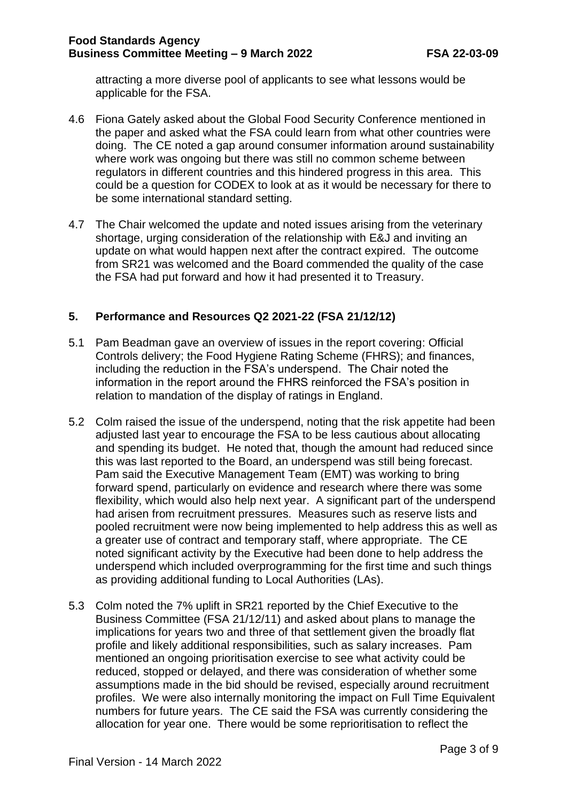attracting a more diverse pool of applicants to see what lessons would be applicable for the FSA.

- 4.6 Fiona Gately asked about the Global Food Security Conference mentioned in the paper and asked what the FSA could learn from what other countries were doing. The CE noted a gap around consumer information around sustainability where work was ongoing but there was still no common scheme between regulators in different countries and this hindered progress in this area. This could be a question for CODEX to look at as it would be necessary for there to be some international standard setting.
- 4.7 The Chair welcomed the update and noted issues arising from the veterinary shortage, urging consideration of the relationship with E&J and inviting an update on what would happen next after the contract expired. The outcome from SR21 was welcomed and the Board commended the quality of the case the FSA had put forward and how it had presented it to Treasury.

## **5. Performance and Resources Q2 2021-22 (FSA 21/12/12)**

- 5.1 Pam Beadman gave an overview of issues in the report covering: Official Controls delivery; the Food Hygiene Rating Scheme (FHRS); and finances, including the reduction in the FSA's underspend. The Chair noted the information in the report around the FHRS reinforced the FSA's position in relation to mandation of the display of ratings in England.
- 5.2 Colm raised the issue of the underspend, noting that the risk appetite had been adjusted last year to encourage the FSA to be less cautious about allocating and spending its budget. He noted that, though the amount had reduced since this was last reported to the Board, an underspend was still being forecast. Pam said the Executive Management Team (EMT) was working to bring forward spend, particularly on evidence and research where there was some flexibility, which would also help next year. A significant part of the underspend had arisen from recruitment pressures. Measures such as reserve lists and pooled recruitment were now being implemented to help address this as well as a greater use of contract and temporary staff, where appropriate. The CE noted significant activity by the Executive had been done to help address the underspend which included overprogramming for the first time and such things as providing additional funding to Local Authorities (LAs).
- 5.3 Colm noted the 7% uplift in SR21 reported by the Chief Executive to the Business Committee (FSA 21/12/11) and asked about plans to manage the implications for years two and three of that settlement given the broadly flat profile and likely additional responsibilities, such as salary increases. Pam mentioned an ongoing prioritisation exercise to see what activity could be reduced, stopped or delayed, and there was consideration of whether some assumptions made in the bid should be revised, especially around recruitment profiles. We were also internally monitoring the impact on Full Time Equivalent numbers for future years. The CE said the FSA was currently considering the allocation for year one. There would be some reprioritisation to reflect the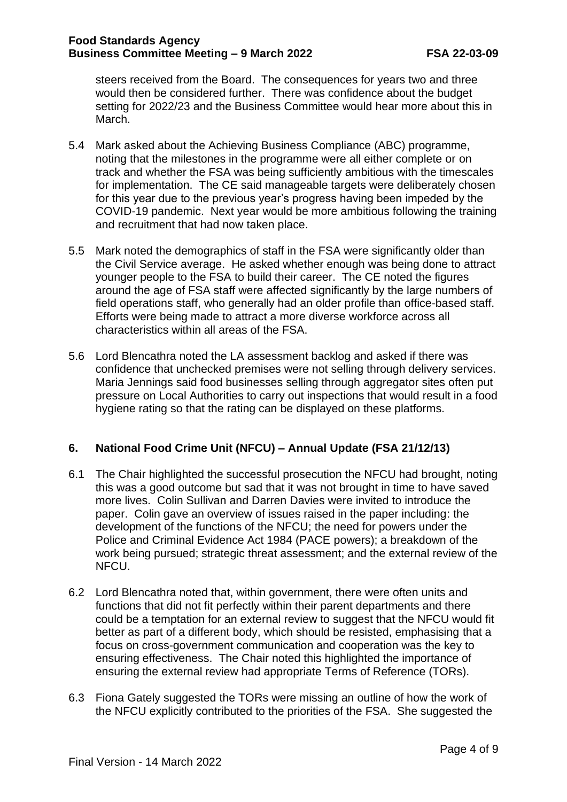steers received from the Board. The consequences for years two and three would then be considered further. There was confidence about the budget setting for 2022/23 and the Business Committee would hear more about this in March.

- 5.4 Mark asked about the Achieving Business Compliance (ABC) programme, noting that the milestones in the programme were all either complete or on track and whether the FSA was being sufficiently ambitious with the timescales for implementation. The CE said manageable targets were deliberately chosen for this year due to the previous year's progress having been impeded by the COVID-19 pandemic. Next year would be more ambitious following the training and recruitment that had now taken place.
- 5.5 Mark noted the demographics of staff in the FSA were significantly older than the Civil Service average. He asked whether enough was being done to attract younger people to the FSA to build their career. The CE noted the figures around the age of FSA staff were affected significantly by the large numbers of field operations staff, who generally had an older profile than office-based staff. Efforts were being made to attract a more diverse workforce across all characteristics within all areas of the FSA.
- 5.6 Lord Blencathra noted the LA assessment backlog and asked if there was confidence that unchecked premises were not selling through delivery services. Maria Jennings said food businesses selling through aggregator sites often put pressure on Local Authorities to carry out inspections that would result in a food hygiene rating so that the rating can be displayed on these platforms.

# **6. National Food Crime Unit (NFCU) – Annual Update (FSA 21/12/13)**

- 6.1 The Chair highlighted the successful prosecution the NFCU had brought, noting this was a good outcome but sad that it was not brought in time to have saved more lives. Colin Sullivan and Darren Davies were invited to introduce the paper. Colin gave an overview of issues raised in the paper including: the development of the functions of the NFCU; the need for powers under the Police and Criminal Evidence Act 1984 (PACE powers); a breakdown of the work being pursued; strategic threat assessment; and the external review of the NFCU.
- 6.2 Lord Blencathra noted that, within government, there were often units and functions that did not fit perfectly within their parent departments and there could be a temptation for an external review to suggest that the NFCU would fit better as part of a different body, which should be resisted, emphasising that a focus on cross-government communication and cooperation was the key to ensuring effectiveness. The Chair noted this highlighted the importance of ensuring the external review had appropriate Terms of Reference (TORs).
- 6.3 Fiona Gately suggested the TORs were missing an outline of how the work of the NFCU explicitly contributed to the priorities of the FSA. She suggested the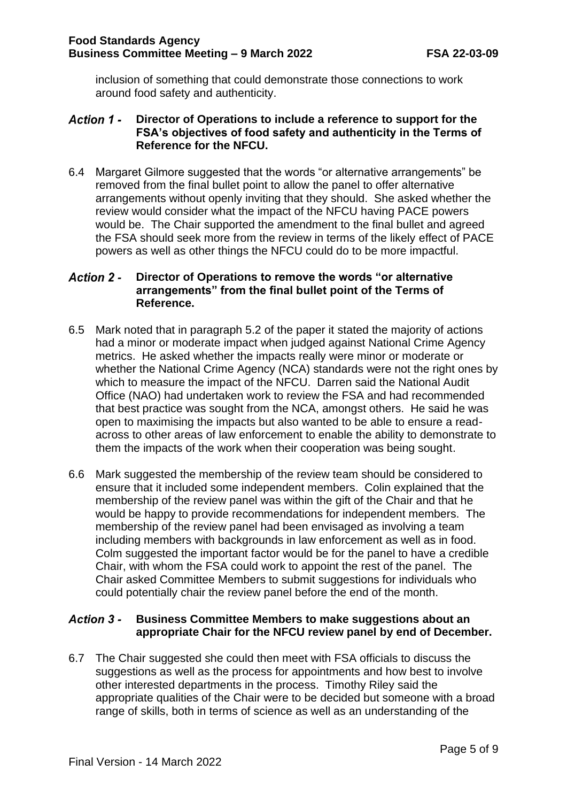inclusion of something that could demonstrate those connections to work around food safety and authenticity.

#### **Action 1 -Director of Operations to include a reference to support for the FSA's objectives of food safety and authenticity in the Terms of Reference for the NFCU.**

6.4 Margaret Gilmore suggested that the words "or alternative arrangements" be removed from the final bullet point to allow the panel to offer alternative arrangements without openly inviting that they should. She asked whether the review would consider what the impact of the NFCU having PACE powers would be. The Chair supported the amendment to the final bullet and agreed the FSA should seek more from the review in terms of the likely effect of PACE powers as well as other things the NFCU could do to be more impactful.

#### **Director of Operations to remove the words "or alternative Action 2 arrangements" from the final bullet point of the Terms of Reference.**

- 6.5 Mark noted that in paragraph 5.2 of the paper it stated the majority of actions had a minor or moderate impact when judged against National Crime Agency metrics. He asked whether the impacts really were minor or moderate or whether the National Crime Agency (NCA) standards were not the right ones by which to measure the impact of the NFCU. Darren said the National Audit Office (NAO) had undertaken work to review the FSA and had recommended that best practice was sought from the NCA, amongst others. He said he was open to maximising the impacts but also wanted to be able to ensure a readacross to other areas of law enforcement to enable the ability to demonstrate to them the impacts of the work when their cooperation was being sought.
- 6.6 Mark suggested the membership of the review team should be considered to ensure that it included some independent members. Colin explained that the membership of the review panel was within the gift of the Chair and that he would be happy to provide recommendations for independent members. The membership of the review panel had been envisaged as involving a team including members with backgrounds in law enforcement as well as in food. Colm suggested the important factor would be for the panel to have a credible Chair, with whom the FSA could work to appoint the rest of the panel. The Chair asked Committee Members to submit suggestions for individuals who could potentially chair the review panel before the end of the month.

#### **Action 3 -Business Committee Members to make suggestions about an appropriate Chair for the NFCU review panel by end of December.**

6.7 The Chair suggested she could then meet with FSA officials to discuss the suggestions as well as the process for appointments and how best to involve other interested departments in the process. Timothy Riley said the appropriate qualities of the Chair were to be decided but someone with a broad range of skills, both in terms of science as well as an understanding of the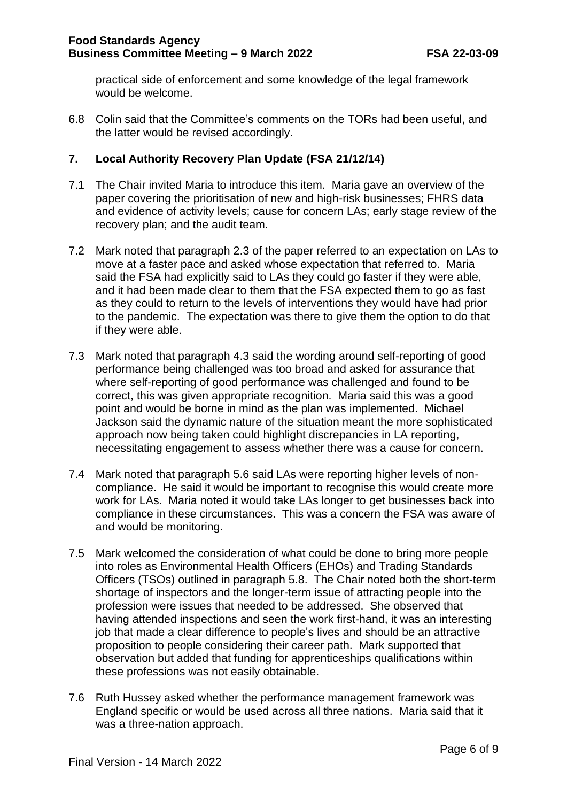practical side of enforcement and some knowledge of the legal framework would be welcome.

6.8 Colin said that the Committee's comments on the TORs had been useful, and the latter would be revised accordingly.

## **7. Local Authority Recovery Plan Update (FSA 21/12/14)**

- 7.1 The Chair invited Maria to introduce this item. Maria gave an overview of the paper covering the prioritisation of new and high-risk businesses; FHRS data and evidence of activity levels; cause for concern LAs; early stage review of the recovery plan; and the audit team.
- 7.2 Mark noted that paragraph 2.3 of the paper referred to an expectation on LAs to move at a faster pace and asked whose expectation that referred to. Maria said the FSA had explicitly said to LAs they could go faster if they were able, and it had been made clear to them that the FSA expected them to go as fast as they could to return to the levels of interventions they would have had prior to the pandemic. The expectation was there to give them the option to do that if they were able.
- 7.3 Mark noted that paragraph 4.3 said the wording around self-reporting of good performance being challenged was too broad and asked for assurance that where self-reporting of good performance was challenged and found to be correct, this was given appropriate recognition. Maria said this was a good point and would be borne in mind as the plan was implemented. Michael Jackson said the dynamic nature of the situation meant the more sophisticated approach now being taken could highlight discrepancies in LA reporting, necessitating engagement to assess whether there was a cause for concern.
- 7.4 Mark noted that paragraph 5.6 said LAs were reporting higher levels of noncompliance. He said it would be important to recognise this would create more work for LAs. Maria noted it would take LAs longer to get businesses back into compliance in these circumstances. This was a concern the FSA was aware of and would be monitoring.
- 7.5 Mark welcomed the consideration of what could be done to bring more people into roles as Environmental Health Officers (EHOs) and Trading Standards Officers (TSOs) outlined in paragraph 5.8. The Chair noted both the short-term shortage of inspectors and the longer-term issue of attracting people into the profession were issues that needed to be addressed. She observed that having attended inspections and seen the work first-hand, it was an interesting job that made a clear difference to people's lives and should be an attractive proposition to people considering their career path. Mark supported that observation but added that funding for apprenticeships qualifications within these professions was not easily obtainable.
- 7.6 Ruth Hussey asked whether the performance management framework was England specific or would be used across all three nations. Maria said that it was a three-nation approach.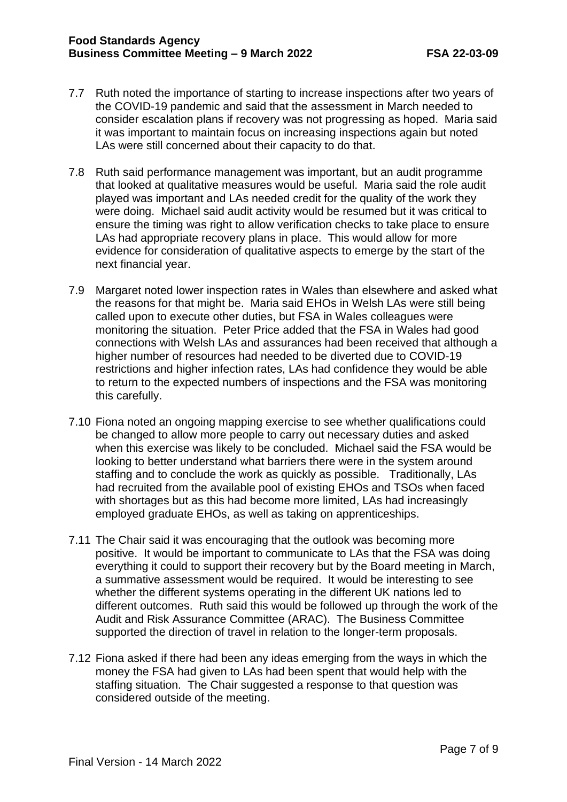- 7.7 Ruth noted the importance of starting to increase inspections after two years of the COVID-19 pandemic and said that the assessment in March needed to consider escalation plans if recovery was not progressing as hoped. Maria said it was important to maintain focus on increasing inspections again but noted LAs were still concerned about their capacity to do that.
- 7.8 Ruth said performance management was important, but an audit programme that looked at qualitative measures would be useful. Maria said the role audit played was important and LAs needed credit for the quality of the work they were doing. Michael said audit activity would be resumed but it was critical to ensure the timing was right to allow verification checks to take place to ensure LAs had appropriate recovery plans in place. This would allow for more evidence for consideration of qualitative aspects to emerge by the start of the next financial year.
- 7.9 Margaret noted lower inspection rates in Wales than elsewhere and asked what the reasons for that might be. Maria said EHOs in Welsh LAs were still being called upon to execute other duties, but FSA in Wales colleagues were monitoring the situation. Peter Price added that the FSA in Wales had good connections with Welsh LAs and assurances had been received that although a higher number of resources had needed to be diverted due to COVID-19 restrictions and higher infection rates, LAs had confidence they would be able to return to the expected numbers of inspections and the FSA was monitoring this carefully.
- 7.10 Fiona noted an ongoing mapping exercise to see whether qualifications could be changed to allow more people to carry out necessary duties and asked when this exercise was likely to be concluded. Michael said the FSA would be looking to better understand what barriers there were in the system around staffing and to conclude the work as quickly as possible. Traditionally, LAs had recruited from the available pool of existing EHOs and TSOs when faced with shortages but as this had become more limited, LAs had increasingly employed graduate EHOs, as well as taking on apprenticeships.
- 7.11 The Chair said it was encouraging that the outlook was becoming more positive. It would be important to communicate to LAs that the FSA was doing everything it could to support their recovery but by the Board meeting in March, a summative assessment would be required. It would be interesting to see whether the different systems operating in the different UK nations led to different outcomes. Ruth said this would be followed up through the work of the Audit and Risk Assurance Committee (ARAC). The Business Committee supported the direction of travel in relation to the longer-term proposals.
- 7.12 Fiona asked if there had been any ideas emerging from the ways in which the money the FSA had given to LAs had been spent that would help with the staffing situation. The Chair suggested a response to that question was considered outside of the meeting.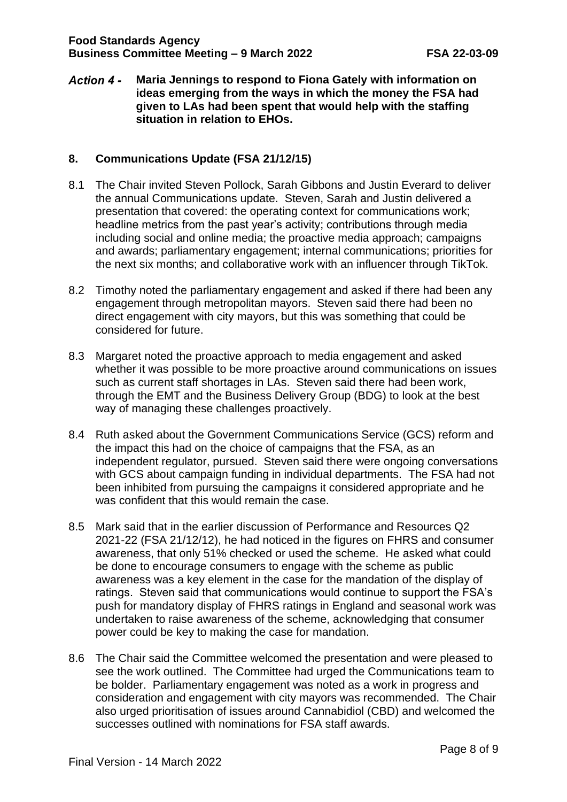### **Food Standards Agency Business Committee Meeting – 9 March 2022 FSA 22-03-09**

Action 4 -**Maria Jennings to respond to Fiona Gately with information on ideas emerging from the ways in which the money the FSA had given to LAs had been spent that would help with the staffing situation in relation to EHOs.**

### **8. Communications Update (FSA 21/12/15)**

- 8.1 The Chair invited Steven Pollock, Sarah Gibbons and Justin Everard to deliver the annual Communications update. Steven, Sarah and Justin delivered a presentation that covered: the operating context for communications work; headline metrics from the past year's activity; contributions through media including social and online media; the proactive media approach; campaigns and awards; parliamentary engagement; internal communications; priorities for the next six months; and collaborative work with an influencer through TikTok.
- 8.2 Timothy noted the parliamentary engagement and asked if there had been any engagement through metropolitan mayors. Steven said there had been no direct engagement with city mayors, but this was something that could be considered for future.
- 8.3 Margaret noted the proactive approach to media engagement and asked whether it was possible to be more proactive around communications on issues such as current staff shortages in LAs. Steven said there had been work, through the EMT and the Business Delivery Group (BDG) to look at the best way of managing these challenges proactively.
- 8.4 Ruth asked about the Government Communications Service (GCS) reform and the impact this had on the choice of campaigns that the FSA, as an independent regulator, pursued. Steven said there were ongoing conversations with GCS about campaign funding in individual departments. The FSA had not been inhibited from pursuing the campaigns it considered appropriate and he was confident that this would remain the case.
- 8.5 Mark said that in the earlier discussion of Performance and Resources Q2 2021-22 (FSA 21/12/12), he had noticed in the figures on FHRS and consumer awareness, that only 51% checked or used the scheme. He asked what could be done to encourage consumers to engage with the scheme as public awareness was a key element in the case for the mandation of the display of ratings. Steven said that communications would continue to support the FSA's push for mandatory display of FHRS ratings in England and seasonal work was undertaken to raise awareness of the scheme, acknowledging that consumer power could be key to making the case for mandation.
- 8.6 The Chair said the Committee welcomed the presentation and were pleased to see the work outlined. The Committee had urged the Communications team to be bolder. Parliamentary engagement was noted as a work in progress and consideration and engagement with city mayors was recommended. The Chair also urged prioritisation of issues around Cannabidiol (CBD) and welcomed the successes outlined with nominations for FSA staff awards.